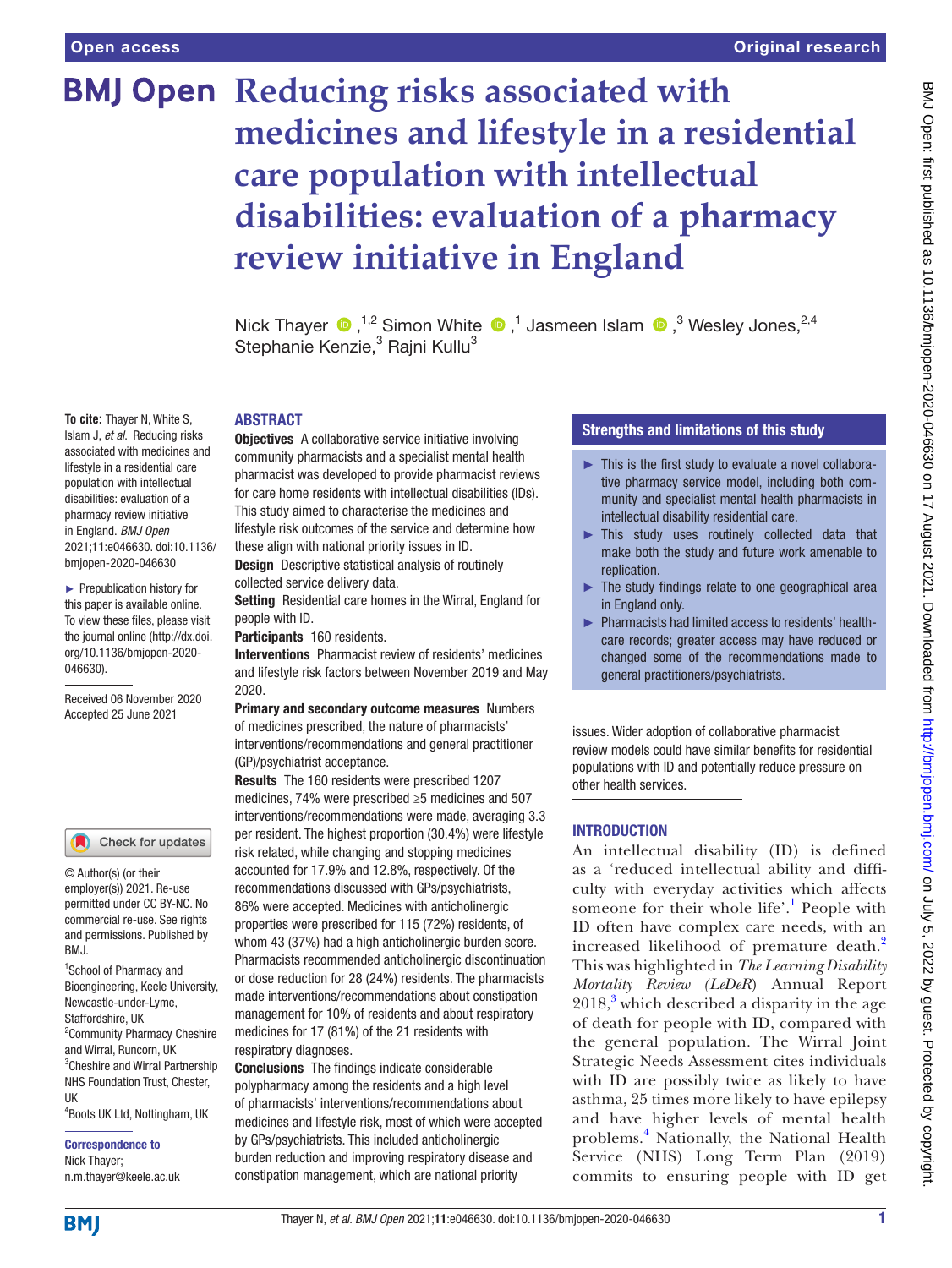**To cite:** Thayer N, White S, Islam J, *et al*. Reducing risks associated with medicines and lifestyle in a residential care population with intellectual disabilities: evaluation of a pharmacy review initiative in England. *BMJ Open* 2021;11:e046630. doi:10.1136/ bmjopen-2020-046630 ► Prepublication history for this paper is available online. To view these files, please visit the journal online (http://dx.doi. org/10.1136/bmjopen-2020-

046630).

Received 06 November 2020 Accepted 25 June 2021

<sup>1</sup>School of Pharmacy and Bioengineering, Keele University, Newcastle-under-Lyme, Staffordshire, UK

© Author(s) (or their employer(s)) 2021. Re-use permitted under CC BY-NC. No commercial re-use. See rights and permissions. Published by

Check for updates

<sup>2</sup> Community Pharmacy Cheshire and Wirral, Runcorn, UK 3 Cheshire and Wirral Partnership NHS Foundation Trust, Chester,

4 Boots UK Ltd, Nottingham, UK

Correspondence to Nick Thayer; n.m.thayer@keele.ac.uk

# **BMJ Open Reducing risks associated with medicines and lifestyle in a residential care population with intellectual disabilities: evaluation of a pharmacy review initiative in England**

NickThayer  $\bigcirc$ , <sup>1,2</sup> Simon White  $\bigcirc$ , <sup>1</sup> Jasmeen Islam  $\bigcirc$ , <sup>3</sup> Wesley Jones, <sup>2,4</sup> Stephanie Kenzie,<sup>3</sup> Rajni Kullu<sup>3</sup>

#### ABSTRACT

**Objectives** A collaborative service initiative involving community pharmacists and a specialist mental health pharmacist was developed to provide pharmacist reviews for care home residents with intellectual disabilities (IDs). This study aimed to characterise the medicines and lifestyle risk outcomes of the service and determine how these align with national priority issues in ID.

Design Descriptive statistical analysis of routinely collected service delivery data.

Setting Residential care homes in the Wirral, England for people with ID.

Participants 160 residents.

Interventions Pharmacist review of residents' medicines and lifestyle risk factors between November 2019 and May 2020.

Primary and secondary outcome measures Numbers of medicines prescribed, the nature of pharmacists' interventions/recommendations and general practitioner (GP)/psychiatrist acceptance.

Results The 160 residents were prescribed 1207 medicines, 74% were prescribed ≥5 medicines and 507 interventions/recommendations were made, averaging 3.3 per resident. The highest proportion (30.4%) were lifestyle risk related, while changing and stopping medicines accounted for 17.9% and 12.8%, respectively. Of the recommendations discussed with GPs/psychiatrists, 86% were accepted. Medicines with anticholinergic properties were prescribed for 115 (72%) residents, of whom 43 (37%) had a high anticholinergic burden score. Pharmacists recommended anticholinergic discontinuation or dose reduction for 28 (24%) residents. The pharmacists made interventions/recommendations about constipation management for 10% of residents and about respiratory medicines for 17 (81%) of the 21 residents with respiratory diagnoses.

Conclusions The findings indicate considerable polypharmacy among the residents and a high level of pharmacists' interventions/recommendations about medicines and lifestyle risk, most of which were accepted by GPs/psychiatrists. This included anticholinergic burden reduction and improving respiratory disease and constipation management, which are national priority

# Strengths and limitations of this study

- ► This is the first study to evaluate a novel collaborative pharmacy service model, including both community and specialist mental health pharmacists in intellectual disability residential care.
- ► This study uses routinely collected data that make both the study and future work amenable to replication.
- ► The study findings relate to one geographical area in England only.
- ► Pharmacists had limited access to residents' healthcare records; greater access may have reduced or changed some of the recommendations made to general practitioners/psychiatrists.

issues. Wider adoption of collaborative pharmacist review models could have similar benefits for residential populations with ID and potentially reduce pressure on other health services.

# **INTRODUCTION**

An intellectual disability (ID) is defined as a 'reduced intellectual ability and difficulty with everyday activities which affects someone for their whole life'.<sup>[1](#page-6-0)</sup> People with ID often have complex care needs, with an increased likelihood of premature death.<sup>[2](#page-6-1)</sup> This was highlighted in *The Learning Disability Mortality Review (LeDeR*) Annual Report  $2018<sup>3</sup>$  $2018<sup>3</sup>$  $2018<sup>3</sup>$  which described a disparity in the age of death for people with ID, compared with the general population. The Wirral Joint Strategic Needs Assessment cites individuals with ID are possibly twice as likely to have asthma, 25 times more likely to have epilepsy and have higher levels of mental health problems.[4](#page-6-3) Nationally, the National Health Service (NHS) Long Term Plan (2019) commits to ensuring people with ID get

**BMI** 

UK

RM<sub>J</sub>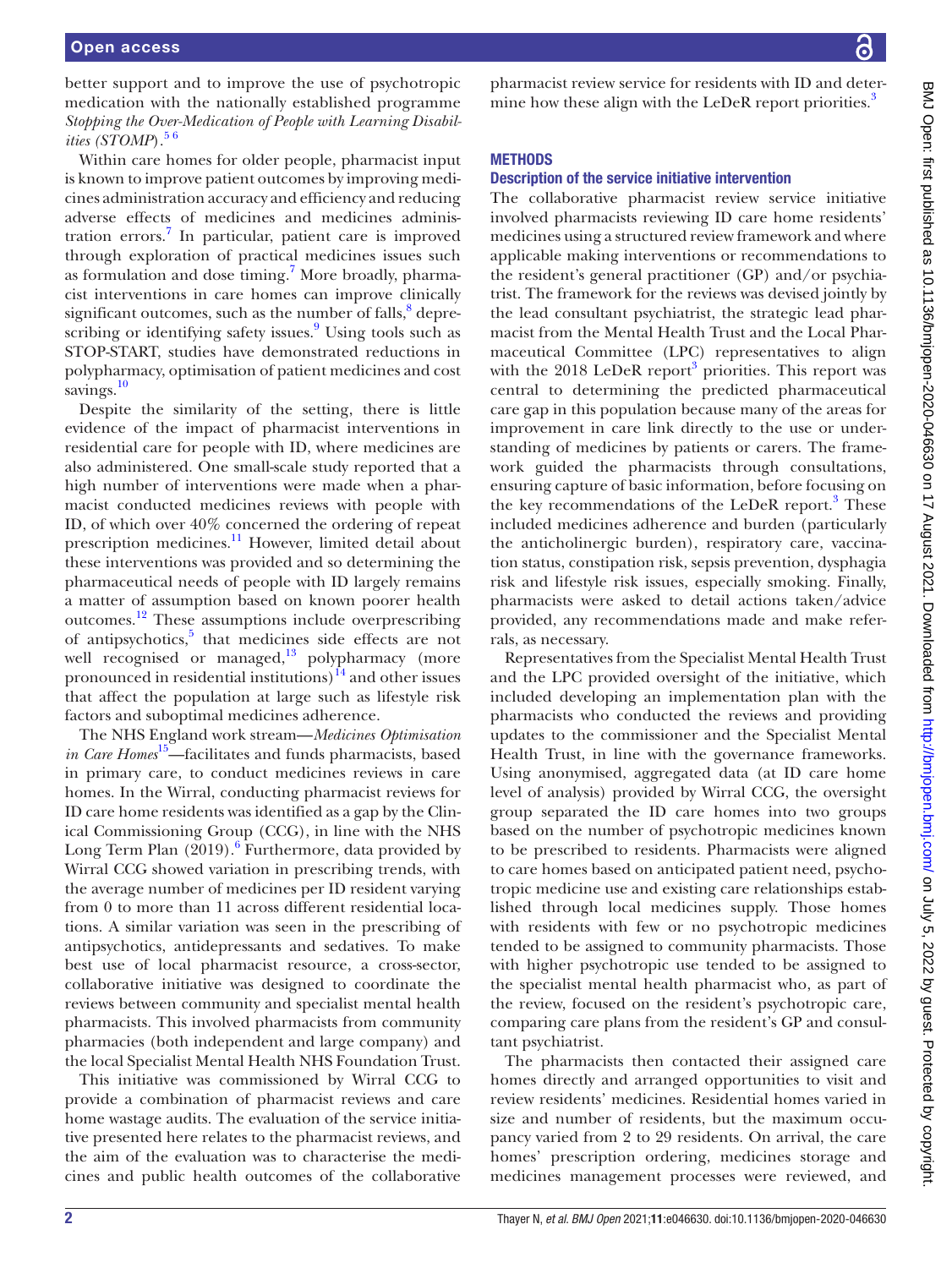better support and to improve the use of psychotropic medication with the nationally established programme *Stopping the Over-Medication of People with Learning Disabilities (STOMP*).<sup>56</sup>

Within care homes for older people, pharmacist input is known to improve patient outcomes by improving medicines administration accuracy and efficiency and reducing adverse effects of medicines and medicines adminis-tration errors.<sup>[7](#page-6-5)</sup> In particular, patient care is improved through exploration of practical medicines issues such as formulation and dose timing.<sup>7</sup> More broadly, pharmacist interventions in care homes can improve clinically significant outcomes, such as the number of falls,<sup>8</sup> depre-scribing or identifying safety issues.<sup>[9](#page-6-7)</sup> Using tools such as STOP-START, studies have demonstrated reductions in polypharmacy, optimisation of patient medicines and cost savings.<sup>[10](#page-6-8)</sup>

Despite the similarity of the setting, there is little evidence of the impact of pharmacist interventions in residential care for people with ID, where medicines are also administered. One small-scale study reported that a high number of interventions were made when a pharmacist conducted medicines reviews with people with ID, of which over 40% concerned the ordering of repeat prescription medicines.<sup>[11](#page-6-9)</sup> However, limited detail about these interventions was provided and so determining the pharmaceutical needs of people with ID largely remains a matter of assumption based on known poorer health outcomes[.12](#page-6-10) These assumptions include overprescribing of antipsychotics,<sup>5</sup> that medicines side effects are not well recognised or managed, $13$  polypharmacy (more pronounced in residential institutions) $^{14}$  and other issues that affect the population at large such as lifestyle risk factors and suboptimal medicines adherence.

The NHS England work stream—*Medicines Optimisation in Care Homes*[15—](#page-6-13)facilitates and funds pharmacists, based in primary care, to conduct medicines reviews in care homes. In the Wirral, conducting pharmacist reviews for ID care home residents was identified as a gap by the Clinical Commissioning Group (CCG), in line with the NHS Long Term Plan  $(2019)$ .<sup>[6](#page-6-14)</sup> Furthermore, data provided by Wirral CCG showed variation in prescribing trends, with the average number of medicines per ID resident varying from 0 to more than 11 across different residential locations. A similar variation was seen in the prescribing of antipsychotics, antidepressants and sedatives. To make best use of local pharmacist resource, a cross-sector, collaborative initiative was designed to coordinate the reviews between community and specialist mental health pharmacists. This involved pharmacists from community pharmacies (both independent and large company) and the local Specialist Mental Health NHS Foundation Trust.

This initiative was commissioned by Wirral CCG to provide a combination of pharmacist reviews and care home wastage audits. The evaluation of the service initiative presented here relates to the pharmacist reviews, and the aim of the evaluation was to characterise the medicines and public health outcomes of the collaborative

pharmacist review service for residents with ID and determine how these align with the LeDeR report priorities.<sup>3</sup>

# **METHODS**

#### Description of the service initiative intervention

The collaborative pharmacist review service initiative involved pharmacists reviewing ID care home residents' medicines using a structured review framework and where applicable making interventions or recommendations to the resident's general practitioner (GP) and/or psychiatrist. The framework for the reviews was devised jointly by the lead consultant psychiatrist, the strategic lead pharmacist from the Mental Health Trust and the Local Pharmaceutical Committee (LPC) representatives to align with the 2018 LeDeR report<sup>[3](#page-6-2)</sup> priorities. This report was central to determining the predicted pharmaceutical care gap in this population because many of the areas for improvement in care link directly to the use or understanding of medicines by patients or carers. The framework guided the pharmacists through consultations, ensuring capture of basic information, before focusing on the key recommendations of the LeDeR report.<sup>[3](#page-6-2)</sup> These included medicines adherence and burden (particularly the anticholinergic burden), respiratory care, vaccination status, constipation risk, sepsis prevention, dysphagia risk and lifestyle risk issues, especially smoking. Finally, pharmacists were asked to detail actions taken/advice provided, any recommendations made and make referrals, as necessary.

Representatives from the Specialist Mental Health Trust and the LPC provided oversight of the initiative, which included developing an implementation plan with the pharmacists who conducted the reviews and providing updates to the commissioner and the Specialist Mental Health Trust, in line with the governance frameworks. Using anonymised, aggregated data (at ID care home level of analysis) provided by Wirral CCG, the oversight group separated the ID care homes into two groups based on the number of psychotropic medicines known to be prescribed to residents. Pharmacists were aligned to care homes based on anticipated patient need, psychotropic medicine use and existing care relationships established through local medicines supply. Those homes with residents with few or no psychotropic medicines tended to be assigned to community pharmacists. Those with higher psychotropic use tended to be assigned to the specialist mental health pharmacist who, as part of the review, focused on the resident's psychotropic care, comparing care plans from the resident's GP and consultant psychiatrist.

The pharmacists then contacted their assigned care homes directly and arranged opportunities to visit and review residents' medicines. Residential homes varied in size and number of residents, but the maximum occupancy varied from 2 to 29 residents. On arrival, the care homes' prescription ordering, medicines storage and medicines management processes were reviewed, and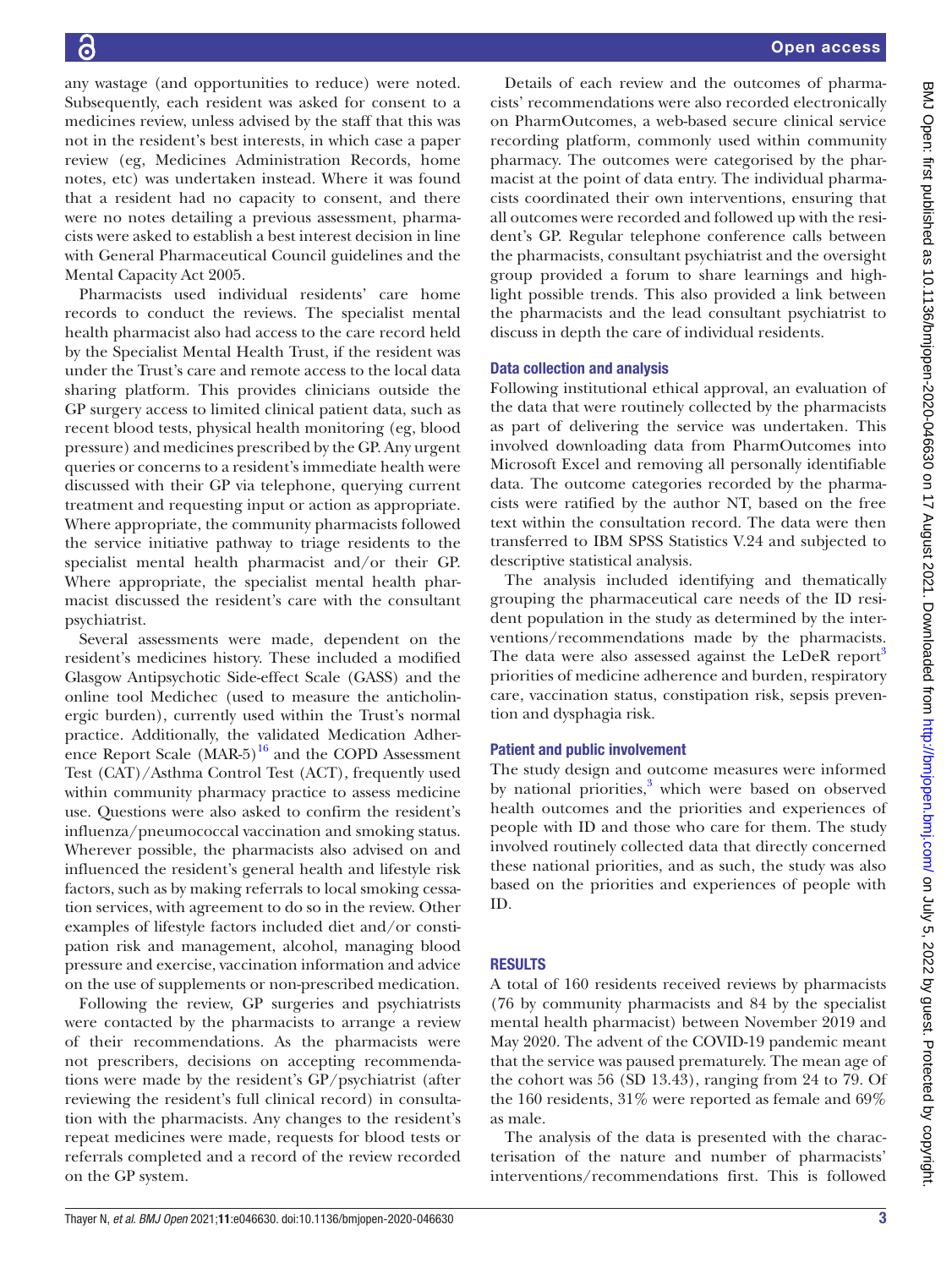any wastage (and opportunities to reduce) were noted. Subsequently, each resident was asked for consent to a medicines review, unless advised by the staff that this was not in the resident's best interests, in which case a paper review (eg, Medicines Administration Records, home notes, etc) was undertaken instead. Where it was found that a resident had no capacity to consent, and there were no notes detailing a previous assessment, pharmacists were asked to establish a best interest decision in line with General Pharmaceutical Council guidelines and the Mental Capacity Act 2005.

Pharmacists used individual residents' care home records to conduct the reviews. The specialist mental health pharmacist also had access to the care record held by the Specialist Mental Health Trust, if the resident was under the Trust's care and remote access to the local data sharing platform. This provides clinicians outside the GP surgery access to limited clinical patient data, such as recent blood tests, physical health monitoring (eg, blood pressure) and medicines prescribed by the GP. Any urgent queries or concerns to a resident's immediate health were discussed with their GP via telephone, querying current treatment and requesting input or action as appropriate. Where appropriate, the community pharmacists followed the service initiative pathway to triage residents to the specialist mental health pharmacist and/or their GP. Where appropriate, the specialist mental health pharmacist discussed the resident's care with the consultant psychiatrist.

Several assessments were made, dependent on the resident's medicines history. These included a modified Glasgow Antipsychotic Side-effect Scale (GASS) and the online tool Medichec (used to measure the anticholinergic burden), currently used within the Trust's normal practice. Additionally, the validated Medication Adherence Report Scale  $(MAR-5)^{16}$  and the COPD Assessment Test (CAT)/Asthma Control Test (ACT), frequently used within community pharmacy practice to assess medicine use. Questions were also asked to confirm the resident's influenza/pneumococcal vaccination and smoking status. Wherever possible, the pharmacists also advised on and influenced the resident's general health and lifestyle risk factors, such as by making referrals to local smoking cessation services, with agreement to do so in the review. Other examples of lifestyle factors included diet and/or constipation risk and management, alcohol, managing blood pressure and exercise, vaccination information and advice on the use of supplements or non-prescribed medication.

Following the review, GP surgeries and psychiatrists were contacted by the pharmacists to arrange a review of their recommendations. As the pharmacists were not prescribers, decisions on accepting recommendations were made by the resident's GP/psychiatrist (after reviewing the resident's full clinical record) in consultation with the pharmacists. Any changes to the resident's repeat medicines were made, requests for blood tests or referrals completed and a record of the review recorded on the GP system.

Details of each review and the outcomes of pharmacists' recommendations were also recorded electronically on PharmOutcomes, a web-based secure clinical service recording platform, commonly used within community pharmacy. The outcomes were categorised by the pharmacist at the point of data entry. The individual pharmacists coordinated their own interventions, ensuring that all outcomes were recorded and followed up with the resident's GP. Regular telephone conference calls between the pharmacists, consultant psychiatrist and the oversight group provided a forum to share learnings and highlight possible trends. This also provided a link between the pharmacists and the lead consultant psychiatrist to discuss in depth the care of individual residents.

# Data collection and analysis

Following institutional ethical approval, an evaluation of the data that were routinely collected by the pharmacists as part of delivering the service was undertaken. This involved downloading data from PharmOutcomes into Microsoft Excel and removing all personally identifiable data. The outcome categories recorded by the pharmacists were ratified by the author NT, based on the free text within the consultation record. The data were then transferred to IBM SPSS Statistics V.24 and subjected to descriptive statistical analysis.

The analysis included identifying and thematically grouping the pharmaceutical care needs of the ID resident population in the study as determined by the interventions/recommendations made by the pharmacists. The data were also assessed against the LeDeR report<sup>3</sup> priorities of medicine adherence and burden, respiratory care, vaccination status, constipation risk, sepsis prevention and dysphagia risk.

# Patient and public involvement

The study design and outcome measures were informed by national priorities,<sup>[3](#page-6-2)</sup> which were based on observed health outcomes and the priorities and experiences of people with ID and those who care for them. The study involved routinely collected data that directly concerned these national priorities, and as such, the study was also based on the priorities and experiences of people with ID.

# RESULTS

A total of 160 residents received reviews by pharmacists (76 by community pharmacists and 84 by the specialist mental health pharmacist) between November 2019 and May 2020. The advent of the COVID-19 pandemic meant that the service was paused prematurely. The mean age of the cohort was 56 (SD 13.43), ranging from 24 to 79. Of the 160 residents, 31% were reported as female and 69% as male.

The analysis of the data is presented with the characterisation of the nature and number of pharmacists' interventions/recommendations first. This is followed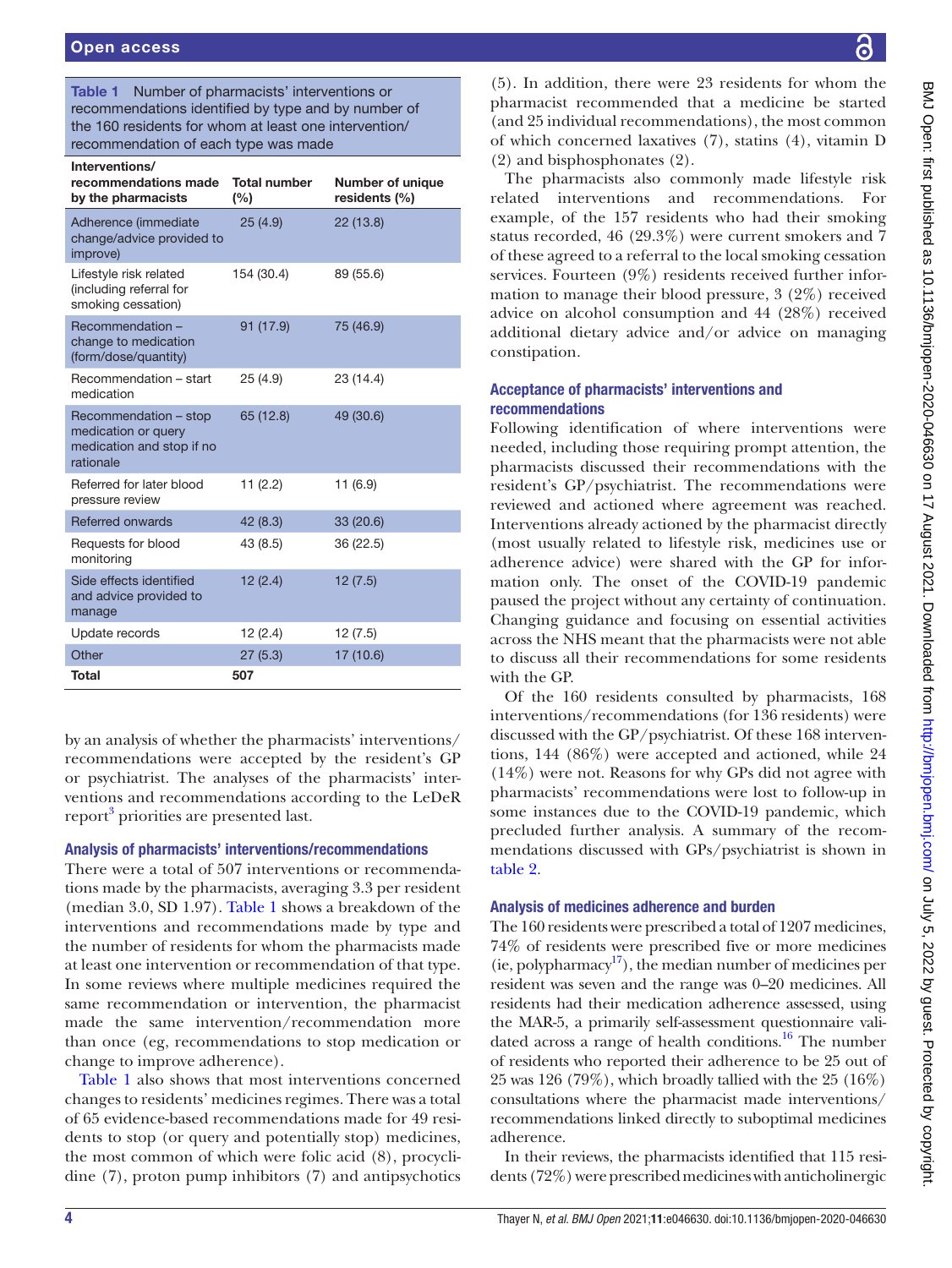<span id="page-3-0"></span>Table 1 Number of pharmacists' interventions or recommendations identified by type and by number of the 160 residents for whom at least one intervention/ recommendation of each type was made

| Interventions/<br>recommendations made<br>by the pharmacists                           | <b>Total number</b><br>(%) | <b>Number of unique</b><br>residents (%) |
|----------------------------------------------------------------------------------------|----------------------------|------------------------------------------|
| Adherence (immediate<br>change/advice provided to<br>improve)                          | 25(4.9)                    | 22(13.8)                                 |
| Lifestyle risk related<br>(including referral for<br>smoking cessation)                | 154 (30.4)                 | 89 (55.6)                                |
| Recommendation-<br>change to medication<br>(form/dose/quantity)                        | 91 (17.9)                  | 75 (46.9)                                |
| Recommendation - start<br>medication                                                   | 25(4.9)                    | 23 (14.4)                                |
| Recommendation - stop<br>medication or query<br>medication and stop if no<br>rationale | 65 (12.8)                  | 49 (30.6)                                |
| Referred for later blood<br>pressure review                                            | 11(2.2)                    | 11(6.9)                                  |
| Referred onwards                                                                       | 42 (8.3)                   | 33 (20.6)                                |
| Requests for blood<br>monitoring                                                       | 43 (8.5)                   | 36 (22.5)                                |
| Side effects identified<br>and advice provided to<br>manage                            | 12(2.4)                    | 12(7.5)                                  |
| Update records                                                                         | 12(2.4)                    | 12(7.5)                                  |
| Other                                                                                  | 27(5.3)                    | 17 (10.6)                                |
| <b>Total</b>                                                                           | 507                        |                                          |

by an analysis of whether the pharmacists' interventions/ recommendations were accepted by the resident's GP or psychiatrist. The analyses of the pharmacists' interventions and recommendations according to the LeDeR report<sup>3</sup> priorities are presented last.

#### Analysis of pharmacists' interventions/recommendations

There were a total of 507 interventions or recommendations made by the pharmacists, averaging 3.3 per resident (median 3.0, SD 1.97). [Table](#page-3-0) 1 shows a breakdown of the interventions and recommendations made by type and the number of residents for whom the pharmacists made at least one intervention or recommendation of that type. In some reviews where multiple medicines required the same recommendation or intervention, the pharmacist made the same intervention/recommendation more than once (eg, recommendations to stop medication or change to improve adherence).

[Table](#page-3-0) 1 also shows that most interventions concerned changes to residents' medicines regimes. There was a total of 65 evidence-based recommendations made for 49 residents to stop (or query and potentially stop) medicines, the most common of which were folic acid (8), procyclidine (7), proton pump inhibitors (7) and antipsychotics

BMJ Open: first published as 10.1136/bmjopen-2020-046630 on 17 August 2021. Downloaded from http://bmjopen.bmj.com/ on July 5, 2022 by guest. Protected by copyright BMJ Open: first published as 10.1136/bmjopen-2020-046630 on 17 August 2021. Downloaded from <http://bmjopen.bmj.com/> on July 5, 2022. Dy guest. Protected by copyright

(5). In addition, there were 23 residents for whom the pharmacist recommended that a medicine be started (and 25 individual recommendations), the most common of which concerned laxatives (7), statins (4), vitamin D (2) and bisphosphonates (2).

The pharmacists also commonly made lifestyle risk related interventions and recommendations. For example, of the 157 residents who had their smoking status recorded, 46 (29.3%) were current smokers and 7 of these agreed to a referral to the local smoking cessation services. Fourteen (9%) residents received further information to manage their blood pressure, 3 (2%) received advice on alcohol consumption and 44 (28%) received additional dietary advice and/or advice on managing constipation.

# Acceptance of pharmacists' interventions and recommendations

Following identification of where interventions were needed, including those requiring prompt attention, the pharmacists discussed their recommendations with the resident's GP/psychiatrist. The recommendations were reviewed and actioned where agreement was reached. Interventions already actioned by the pharmacist directly (most usually related to lifestyle risk, medicines use or adherence advice) were shared with the GP for information only. The onset of the COVID-19 pandemic paused the project without any certainty of continuation. Changing guidance and focusing on essential activities across the NHS meant that the pharmacists were not able to discuss all their recommendations for some residents with the GP.

Of the 160 residents consulted by pharmacists, 168 interventions/recommendations (for 136 residents) were discussed with the GP/psychiatrist. Of these 168 interventions, 144 (86%) were accepted and actioned, while 24 (14%) were not. Reasons for why GPs did not agree with pharmacists' recommendations were lost to follow-up in some instances due to the COVID-19 pandemic, which precluded further analysis. A summary of the recommendations discussed with GPs/psychiatrist is shown in [table](#page-4-0) 2.

# Analysis of medicines adherence and burden

The 160 residents were prescribed a total of 1207 medicines, 74% of residents were prescribed five or more medicines (ie, polypharmacy<sup>[17](#page-6-16)</sup>), the median number of medicines per resident was seven and the range was 0–20 medicines. All residents had their medication adherence assessed, using the MAR-5, a primarily self-assessment questionnaire validated across a range of health conditions.<sup>16</sup> The number of residents who reported their adherence to be 25 out of 25 was 126 (79%), which broadly tallied with the 25 (16%) consultations where the pharmacist made interventions/ recommendations linked directly to suboptimal medicines adherence.

In their reviews, the pharmacists identified that 115 residents (72%) were prescribed medicines with anticholinergic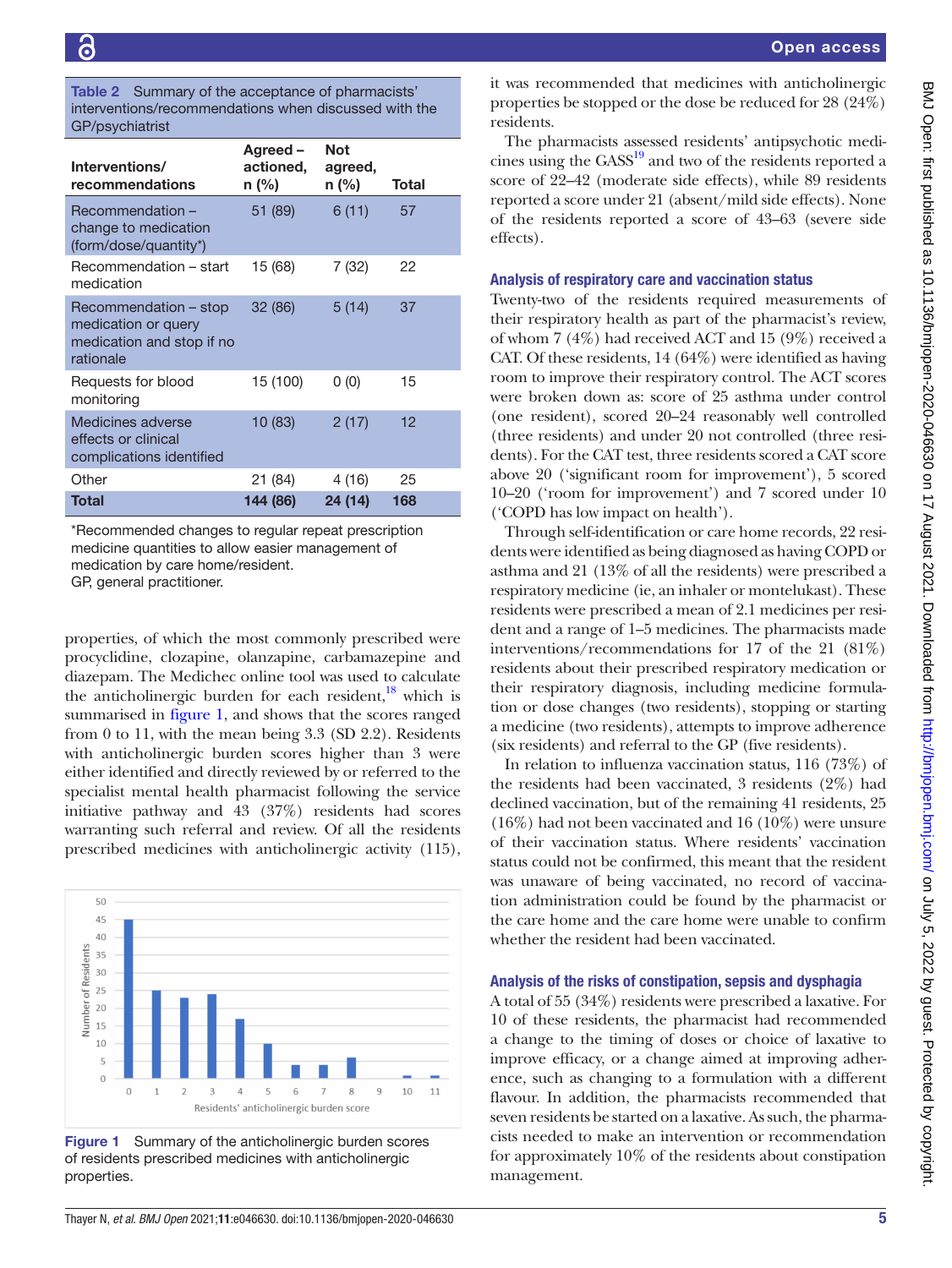<span id="page-4-0"></span>Table 2 Summary of the acceptance of pharmacists' interventions/recommendations when discussed with the GP/psychiatrist

| Interventions/<br>recommendations                                                      | Agreed-<br>actioned,<br>n (%) | <b>Not</b><br>agreed,<br>n (%) | Total |
|----------------------------------------------------------------------------------------|-------------------------------|--------------------------------|-------|
| Recommendation -<br>change to medication<br>(form/dose/quantity*)                      | 51 (89)                       | 6(11)                          | 57    |
| Recommendation - start<br>medication                                                   | 15 (68)                       | 7(32)                          | 22    |
| Recommendation - stop<br>medication or query<br>medication and stop if no<br>rationale | 32 (86)                       | 5(14)                          | 37    |
| Requests for blood<br>monitoring                                                       | 15 (100)                      | 0(0)                           | 15    |
| Medicines adverse<br>effects or clinical<br>complications identified                   | 10 (83)                       | 2(17)                          | 12    |
| Other                                                                                  | 21 (84)                       | 4 (16)                         | 25    |
| Total                                                                                  | 144 (86)                      | 24 (14)                        | 168   |

\*Recommended changes to regular repeat prescription medicine quantities to allow easier management of medication by care home/resident. GP, general practitioner.

properties, of which the most commonly prescribed were procyclidine, clozapine, olanzapine, carbamazepine and diazepam. The Medichec online tool was used to calculate the anticholinergic burden for each resident, $18$  which is summarised in [figure](#page-4-1) 1, and shows that the scores ranged from 0 to 11, with the mean being 3.3 (SD 2.2). Residents with anticholinergic burden scores higher than 3 were either identified and directly reviewed by or referred to the specialist mental health pharmacist following the service initiative pathway and 43 (37%) residents had scores warranting such referral and review. Of all the residents prescribed medicines with anticholinergic activity (115),



<span id="page-4-1"></span>Figure 1 Summary of the anticholinergic burden scores of residents prescribed medicines with anticholinergic properties.

it was recommended that medicines with anticholinergic properties be stopped or the dose be reduced for 28 (24%) residents.

The pharmacists assessed residents' antipsychotic medicines using the GASS<sup>19</sup> and two of the residents reported a score of 22–42 (moderate side effects), while 89 residents reported a score under 21 (absent/mild side effects). None of the residents reported a score of 43–63 (severe side effects).

#### Analysis of respiratory care and vaccination status

Twenty-two of the residents required measurements of their respiratory health as part of the pharmacist's review, of whom 7 (4%) had received ACT and 15 (9%) received a CAT. Of these residents, 14 (64%) were identified as having room to improve their respiratory control. The ACT scores were broken down as: score of 25 asthma under control (one resident), scored 20–24 reasonably well controlled (three residents) and under 20 not controlled (three residents). For the CAT test, three residents scored a CAT score above 20 ('significant room for improvement'), 5 scored 10–20 ('room for improvement') and 7 scored under 10 ('COPD has low impact on health').

Through self-identification or care home records, 22 residents were identified as being diagnosed as having COPD or asthma and 21 (13% of all the residents) were prescribed a respiratory medicine (ie, an inhaler or montelukast). These residents were prescribed a mean of 2.1 medicines per resident and a range of 1–5 medicines. The pharmacists made interventions/recommendations for 17 of the 21 (81%) residents about their prescribed respiratory medication or their respiratory diagnosis, including medicine formulation or dose changes (two residents), stopping or starting a medicine (two residents), attempts to improve adherence (six residents) and referral to the GP (five residents).

In relation to influenza vaccination status, 116 (73%) of the residents had been vaccinated, 3 residents (2%) had declined vaccination, but of the remaining 41 residents, 25 (16%) had not been vaccinated and 16 (10%) were unsure of their vaccination status. Where residents' vaccination status could not be confirmed, this meant that the resident was unaware of being vaccinated, no record of vaccination administration could be found by the pharmacist or the care home and the care home were unable to confirm whether the resident had been vaccinated.

#### Analysis of the risks of constipation, sepsis and dysphagia

A total of 55 (34%) residents were prescribed a laxative. For 10 of these residents, the pharmacist had recommended a change to the timing of doses or choice of laxative to improve efficacy, or a change aimed at improving adherence, such as changing to a formulation with a different flavour. In addition, the pharmacists recommended that seven residents be started on a laxative. As such, the pharmacists needed to make an intervention or recommendation for approximately 10% of the residents about constipation management.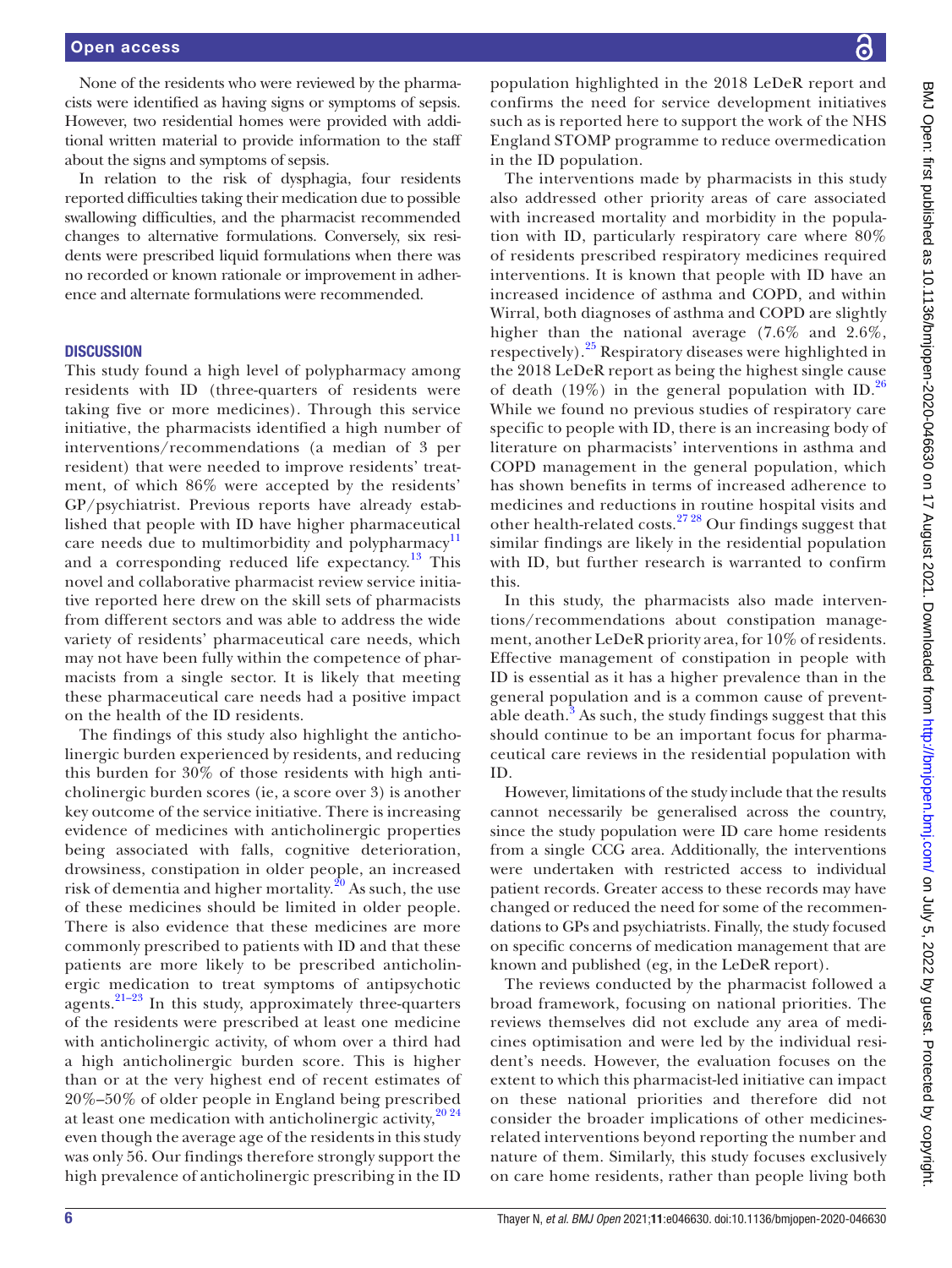None of the residents who were reviewed by the pharmacists were identified as having signs or symptoms of sepsis. However, two residential homes were provided with additional written material to provide information to the staff about the signs and symptoms of sepsis.

In relation to the risk of dysphagia, four residents reported difficulties taking their medication due to possible swallowing difficulties, and the pharmacist recommended changes to alternative formulations. Conversely, six residents were prescribed liquid formulations when there was no recorded or known rationale or improvement in adherence and alternate formulations were recommended.

#### **DISCUSSION**

This study found a high level of polypharmacy among residents with ID (three-quarters of residents were taking five or more medicines). Through this service initiative, the pharmacists identified a high number of interventions/recommendations (a median of 3 per resident) that were needed to improve residents' treatment, of which 86% were accepted by the residents' GP/psychiatrist. Previous reports have already established that people with ID have higher pharmaceutical care needs due to multimorbidity and polypharmacy<sup>[11](#page-6-9)</sup> and a corresponding reduced life expectancy.<sup>13</sup> This novel and collaborative pharmacist review service initiative reported here drew on the skill sets of pharmacists from different sectors and was able to address the wide variety of residents' pharmaceutical care needs, which may not have been fully within the competence of pharmacists from a single sector. It is likely that meeting these pharmaceutical care needs had a positive impact on the health of the ID residents.

The findings of this study also highlight the anticholinergic burden experienced by residents, and reducing this burden for 30% of those residents with high anticholinergic burden scores (ie, a score over 3) is another key outcome of the service initiative. There is increasing evidence of medicines with anticholinergic properties being associated with falls, cognitive deterioration, drowsiness, constipation in older people, an increased risk of dementia and higher mortality. $^{20}$  $^{20}$  $^{20}$  As such, the use of these medicines should be limited in older people. There is also evidence that these medicines are more commonly prescribed to patients with ID and that these patients are more likely to be prescribed anticholinergic medication to treat symptoms of antipsychotic agents. $21-23$  In this study, approximately three-quarters of the residents were prescribed at least one medicine with anticholinergic activity, of whom over a third had a high anticholinergic burden score. This is higher than or at the very highest end of recent estimates of 20%–50% of older people in England being prescribed at least one medication with anticholinergic activity,  $20\frac{24}{3}$ even though the average age of the residents in this study was only 56. Our findings therefore strongly support the high prevalence of anticholinergic prescribing in the ID

population highlighted in the 2018 LeDeR report and confirms the need for service development initiatives such as is reported here to support the work of the NHS England STOMP programme to reduce overmedication in the ID population.

The interventions made by pharmacists in this study also addressed other priority areas of care associated with increased mortality and morbidity in the population with ID, particularly respiratory care where 80% of residents prescribed respiratory medicines required interventions. It is known that people with ID have an increased incidence of asthma and COPD, and within Wirral, both diagnoses of asthma and COPD are slightly higher than the national average (7.6% and 2.6%, respectively).[25](#page-7-0) Respiratory diseases were highlighted in the 2018 LeDeR report as being the highest single cause of death (19%) in the general population with ID.<sup>[26](#page-7-1)</sup> While we found no previous studies of respiratory care specific to people with ID, there is an increasing body of literature on pharmacists' interventions in asthma and COPD management in the general population, which has shown benefits in terms of increased adherence to medicines and reductions in routine hospital visits and other health-related costs.<sup>[27 28](#page-7-2)</sup> Our findings suggest that similar findings are likely in the residential population with ID, but further research is warranted to confirm this.

In this study, the pharmacists also made interventions/recommendations about constipation management, another LeDeR priority area, for 10% of residents. Effective management of constipation in people with ID is essential as it has a higher prevalence than in the general population and is a common cause of preventable death. $3$  As such, the study findings suggest that this should continue to be an important focus for pharmaceutical care reviews in the residential population with ID.

However, limitations of the study include that the results cannot necessarily be generalised across the country, since the study population were ID care home residents from a single CCG area. Additionally, the interventions were undertaken with restricted access to individual patient records. Greater access to these records may have changed or reduced the need for some of the recommendations to GPs and psychiatrists. Finally, the study focused on specific concerns of medication management that are known and published (eg, in the LeDeR report).

The reviews conducted by the pharmacist followed a broad framework, focusing on national priorities. The reviews themselves did not exclude any area of medicines optimisation and were led by the individual resident's needs. However, the evaluation focuses on the extent to which this pharmacist-led initiative can impact on these national priorities and therefore did not consider the broader implications of other medicinesrelated interventions beyond reporting the number and nature of them. Similarly, this study focuses exclusively on care home residents, rather than people living both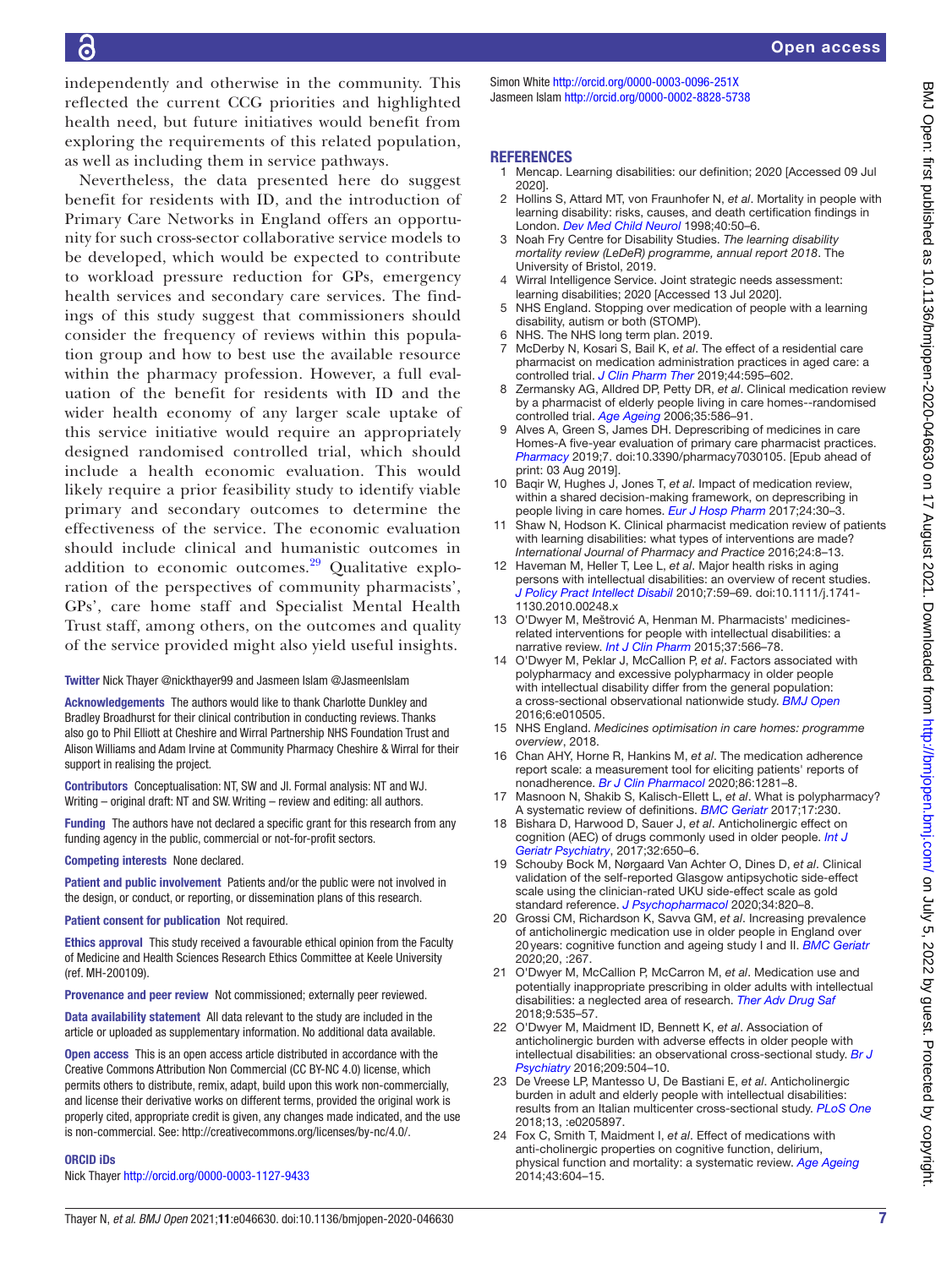independently and otherwise in the community. This reflected the current CCG priorities and highlighted health need, but future initiatives would benefit from exploring the requirements of this related population, as well as including them in service pathways.

Nevertheless, the data presented here do suggest benefit for residents with ID, and the introduction of Primary Care Networks in England offers an opportunity for such cross-sector collaborative service models to be developed, which would be expected to contribute to workload pressure reduction for GPs, emergency health services and secondary care services. The findings of this study suggest that commissioners should consider the frequency of reviews within this population group and how to best use the available resource within the pharmacy profession. However, a full evaluation of the benefit for residents with ID and the wider health economy of any larger scale uptake of this service initiative would require an appropriately designed randomised controlled trial, which should include a health economic evaluation. This would likely require a prior feasibility study to identify viable primary and secondary outcomes to determine the effectiveness of the service. The economic evaluation should include clinical and humanistic outcomes in addition to economic outcomes. $29$  Qualitative exploration of the perspectives of community pharmacists', GPs', care home staff and Specialist Mental Health Trust staff, among others, on the outcomes and quality of the service provided might also yield useful insights.

#### Twitter Nick Thayer [@nickthayer99](https://twitter.com/nickthayer99) and Jasmeen Islam [@JasmeenIslam](https://twitter.com/JasmeenIslam)

Acknowledgements The authors would like to thank Charlotte Dunkley and Bradley Broadhurst for their clinical contribution in conducting reviews. Thanks also go to Phil Elliott at Cheshire and Wirral Partnership NHS Foundation Trust and Alison Williams and Adam Irvine at Community Pharmacy Cheshire & Wirral for their support in realising the project.

Contributors Conceptualisation: NT, SW and JI. Formal analysis: NT and WJ. Writing – original draft: NT and SW. Writing – review and editing: all authors.

Funding The authors have not declared a specific grant for this research from any funding agency in the public, commercial or not-for-profit sectors.

Competing interests None declared.

Patient and public involvement Patients and/or the public were not involved in the design, or conduct, or reporting, or dissemination plans of this research.

Patient consent for publication Not required.

Ethics approval This study received a favourable ethical opinion from the Faculty of Medicine and Health Sciences Research Ethics Committee at Keele University (ref. MH-200109).

Provenance and peer review Not commissioned; externally peer reviewed.

Data availability statement All data relevant to the study are included in the article or uploaded as supplementary information. No additional data available.

Open access This is an open access article distributed in accordance with the Creative Commons Attribution Non Commercial (CC BY-NC 4.0) license, which permits others to distribute, remix, adapt, build upon this work non-commercially, and license their derivative works on different terms, provided the original work is properly cited, appropriate credit is given, any changes made indicated, and the use is non-commercial. See: <http://creativecommons.org/licenses/by-nc/4.0/>.

#### ORCID iDs

Nick Thayer <http://orcid.org/0000-0003-1127-9433>

Simon White<http://orcid.org/0000-0003-0096-251X> Jasmeen Islam<http://orcid.org/0000-0002-8828-5738>

#### **REFERENCES**

- <span id="page-6-0"></span>1 Mencap. Learning disabilities: our definition; 2020 [Accessed 09 Jul 2020].
- <span id="page-6-1"></span>2 Hollins S, Attard MT, von Fraunhofer N, *et al*. Mortality in people with learning disability: risks, causes, and death certification findings in London. *[Dev Med Child Neurol](http://www.ncbi.nlm.nih.gov/pubmed/9459217)* 1998;40:50–6.
- <span id="page-6-2"></span>3 Noah Fry Centre for Disability Studies. *The learning disability mortality review (LeDeR) programme, annual report 2018*. The University of Bristol, 2019.
- <span id="page-6-3"></span>Wirral Intelligence Service. Joint strategic needs assessment: learning disabilities; 2020 [Accessed 13 Jul 2020].
- <span id="page-6-4"></span>5 NHS England. Stopping over medication of people with a learning disability, autism or both (STOMP).
- <span id="page-6-14"></span>6 NHS. The NHS long term plan. 2019.
- <span id="page-6-5"></span>7 McDerby N, Kosari S, Bail K, *et al*. The effect of a residential care pharmacist on medication administration practices in aged care: a controlled trial. *[J Clin Pharm Ther](http://dx.doi.org/10.1111/jcpt.12822)* 2019;44:595–602.
- <span id="page-6-6"></span>8 Zermansky AG, Alldred DP, Petty DR, *et al*. Clinical medication review by a pharmacist of elderly people living in care homes--randomised controlled trial. *[Age Ageing](http://dx.doi.org/10.1093/ageing/afl075)* 2006;35:586–91.
- <span id="page-6-7"></span>Alves A, Green S, James DH. Deprescribing of medicines in care Homes-A five-year evaluation of primary care pharmacist practices. *[Pharmacy](http://dx.doi.org/10.3390/pharmacy7030105)* 2019;7. doi:10.3390/pharmacy7030105. [Epub ahead of print: 03 Aug 2019].
- <span id="page-6-8"></span>10 Baqir W, Hughes J, Jones T, *et al*. Impact of medication review, within a shared decision-making framework, on deprescribing in people living in care homes. *[Eur J Hosp Pharm](http://dx.doi.org/10.1136/ejhpharm-2016-000900)* 2017;24:30–3.
- <span id="page-6-9"></span>11 Shaw N, Hodson K. Clinical pharmacist medication review of patients with learning disabilities: what types of interventions are made? *International Journal of Pharmacy and Practice* 2016;24:8–13.
- <span id="page-6-10"></span>12 Haveman M, Heller T, Lee L, *et al*. Major health risks in aging persons with intellectual disabilities: an overview of recent studies. *[J Policy Pract Intellect Disabil](http://dx.doi.org/10.1111/j.1741-1130.2010.00248.x)* 2010;7:59–69. doi:10.1111/j.1741- 1130.2010.00248.x
- <span id="page-6-11"></span>13 O'Dwyer M, Meštrović A, Henman M. Pharmacists' medicinesrelated interventions for people with intellectual disabilities: a narrative review. *[Int J Clin Pharm](http://dx.doi.org/10.1007/s11096-015-0113-4)* 2015;37:566–78.
- <span id="page-6-12"></span>14 O'Dwyer M, Peklar J, McCallion P, *et al*. Factors associated with polypharmacy and excessive polypharmacy in older people with intellectual disability differ from the general population: a cross-sectional observational nationwide study. *[BMJ Open](http://dx.doi.org/10.1136/bmjopen-2015-010505)* 2016;6:e010505.
- <span id="page-6-13"></span>15 NHS England. *Medicines optimisation in care homes: programme overview*, 2018.
- <span id="page-6-15"></span>16 Chan AHY, Horne R, Hankins M, *et al*. The medication adherence report scale: a measurement tool for eliciting patients' reports of nonadherence. *[Br J Clin Pharmacol](http://dx.doi.org/10.1111/bcp.14193)* 2020;86:1281–8.
- <span id="page-6-16"></span>17 Masnoon N, Shakib S, Kalisch-Ellett L, *et al*. What is polypharmacy? A systematic review of definitions. *[BMC Geriatr](http://dx.doi.org/10.1186/s12877-017-0621-2)* 2017;17:230.
- <span id="page-6-17"></span>18 Bishara D, Harwood D, Sauer J, *et al*. Anticholinergic effect on cognition (AEC) of drugs commonly used in older people. *[Int J](http://dx.doi.org/10.1002/gps.4507)  [Geriatr Psychiatry](http://dx.doi.org/10.1002/gps.4507)*, 2017;32:650–6.
- <span id="page-6-18"></span>19 Schouby Bock M, Nørgaard Van Achter O, Dines D, *et al*. Clinical validation of the self-reported Glasgow antipsychotic side-effect scale using the clinician-rated UKU side-effect scale as gold standard reference. *[J Psychopharmacol](http://dx.doi.org/10.1177/0269881120916122)* 2020;34:820–8.
- <span id="page-6-19"></span>20 Grossi CM, Richardson K, Savva GM, *et al*. Increasing prevalence of anticholinergic medication use in older people in England over 20years: cognitive function and ageing study I and II. *[BMC Geriatr](http://dx.doi.org/10.1186/s12877-020-01657-x)* 2020;20, :267.
- <span id="page-6-20"></span>21 O'Dwyer M, McCallion P, McCarron M, *et al*. Medication use and potentially inappropriate prescribing in older adults with intellectual disabilities: a neglected area of research. *[Ther Adv Drug Saf](http://dx.doi.org/10.1177/2042098618782785)* 2018;9:535–57.
- 22 O'Dwyer M, Maidment ID, Bennett K, *et al*. Association of anticholinergic burden with adverse effects in older people with intellectual disabilities: an observational cross-sectional study. *[Br J](http://dx.doi.org/10.1192/bjp.bp.115.173971)  [Psychiatry](http://dx.doi.org/10.1192/bjp.bp.115.173971)* 2016;209:504–10.
- 23 De Vreese LP, Mantesso U, De Bastiani E, *et al*. Anticholinergic burden in adult and elderly people with intellectual disabilities: results from an Italian multicenter cross-sectional study. *[PLoS One](http://dx.doi.org/10.1371/journal.pone.0205897)* 2018;13, :e0205897.
- 24 Fox C, Smith T, Maidment I, *et al*. Effect of medications with anti-cholinergic properties on cognitive function, delirium, physical function and mortality: a systematic review. *[Age Ageing](http://dx.doi.org/10.1093/ageing/afu096)* 2014;43:604–15.